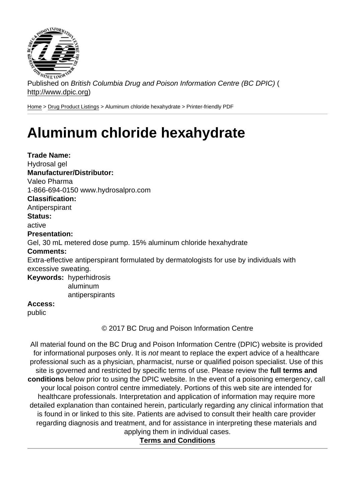Published on British Columbia Drug and Poison Information Centre (BC DPIC) ( http://www.dpic.org)

Home > Drug Product Listings > Aluminum chloride hexahydrate > Printer-friendly PDF

## [Alu](http://www.dpic.org/)[minum c](http://www.dpic.org/druglistings)hloride hexahydrate

Trade Name: Hydrosal gel Manufacturer/Distributor: Valeo Pharma 1-866-694-0150 www.hydrosalpro.com Classification: Antiperspirant Status: active Presentation: Gel, 30 mL metered dose pump. 15% aluminum chloride hexahydrate Comments: Extra-effective antiperspirant formulated by dermatologists for use by individuals with excessive sweating. Keywords: hyperhidrosis aluminum antiperspirants Access: public

© 2017 BC Drug and Poison Information Centre

All material found on the BC Drug and Poison Information Centre (DPIC) website is provided for informational purposes only. It is not meant to replace the expert advice of a healthcare professional such as a physician, pharmacist, nurse or qualified poison specialist. Use of this site is governed and restricted by specific terms of use. Please review the full terms and conditions below prior to using the DPIC website. In the event of a poisoning emergency, call your local poison control centre immediately. Portions of this web site are intended for healthcare professionals. Interpretation and application of information may require more detailed explanation than contained herein, particularly regarding any clinical information that is found in or linked to this site. Patients are advised to consult their health care provider regarding diagnosis and treatment, and for assistance in interpreting these materials and applying them in individual cases.

Terms and Conditions